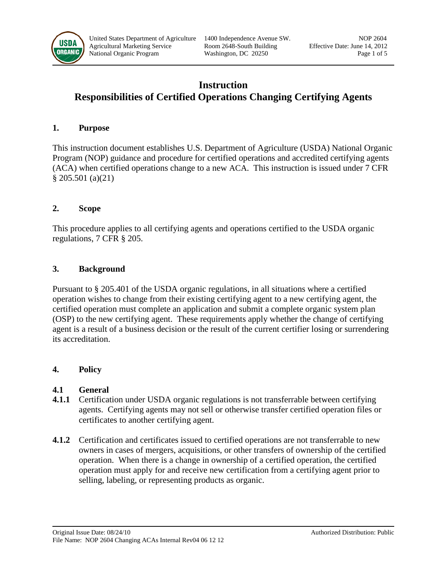

# **Instruction Responsibilities of Certified Operations Changing Certifying Agents**

#### **1. Purpose**

This instruction document establishes U.S. Department of Agriculture (USDA) National Organic Program (NOP) guidance and procedure for certified operations and accredited certifying agents (ACA) when certified operations change to a new ACA. This instruction is issued under 7 CFR § 205.501 (a)(21)

#### **2. Scope**

This procedure applies to all certifying agents and operations certified to the USDA organic regulations, 7 CFR § 205.

## **3. Background**

Pursuant to § 205.401 of the USDA organic regulations, in all situations where a certified operation wishes to change from their existing certifying agent to a new certifying agent, the certified operation must complete an application and submit a complete organic system plan (OSP) to the new certifying agent. These requirements apply whether the change of certifying agent is a result of a business decision or the result of the current certifier losing or surrendering its accreditation.

## **4. Policy**

#### **4.1 General**

- **4.1.1** Certification under USDA organic regulations is not transferrable between certifying agents. Certifying agents may not sell or otherwise transfer certified operation files or certificates to another certifying agent.
- **4.1.2** Certification and certificates issued to certified operations are not transferrable to new owners in cases of mergers, acquisitions, or other transfers of ownership of the certified operation. When there is a change in ownership of a certified operation, the certified operation must apply for and receive new certification from a certifying agent prior to selling, labeling, or representing products as organic.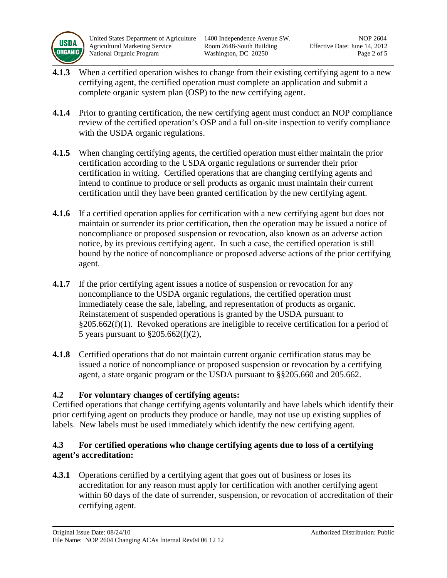

United States Department of Agriculture 1400 Independence Avenue SW. NOP 2604 Agricultural Marketing Service Room 2648-South Building Effective Date: June 14, 2012 National Organic Program Washington, DC 20250 Page 2 of 5

- **4.1.3** When a certified operation wishes to change from their existing certifying agent to a new certifying agent, the certified operation must complete an application and submit a complete organic system plan (OSP) to the new certifying agent.
- **4.1.4** Prior to granting certification, the new certifying agent must conduct an NOP compliance review of the certified operation's OSP and a full on-site inspection to verify compliance with the USDA organic regulations.
- **4.1.5** When changing certifying agents, the certified operation must either maintain the prior certification according to the USDA organic regulations or surrender their prior certification in writing. Certified operations that are changing certifying agents and intend to continue to produce or sell products as organic must maintain their current certification until they have been granted certification by the new certifying agent.
- **4.1.6** If a certified operation applies for certification with a new certifying agent but does not maintain or surrender its prior certification, then the operation may be issued a notice of noncompliance or proposed suspension or revocation, also known as an adverse action notice, by its previous certifying agent. In such a case, the certified operation is still bound by the notice of noncompliance or proposed adverse actions of the prior certifying agent.
- **4.1.7** If the prior certifying agent issues a notice of suspension or revocation for any noncompliance to the USDA organic regulations, the certified operation must immediately cease the sale, labeling, and representation of products as organic. Reinstatement of suspended operations is granted by the USDA pursuant to §205.662(f)(1). Revoked operations are ineligible to receive certification for a period of 5 years pursuant to §205.662(f)(2),
- **4.1.8** Certified operations that do not maintain current organic certification status may be issued a notice of noncompliance or proposed suspension or revocation by a certifying agent, a state organic program or the USDA pursuant to §§205.660 and 205.662.

# **4.2 For voluntary changes of certifying agents:**

Certified operations that change certifying agents voluntarily and have labels which identify their prior certifying agent on products they produce or handle, may not use up existing supplies of labels. New labels must be used immediately which identify the new certifying agent.

## **4.3 For certified operations who change certifying agents due to loss of a certifying agent's accreditation:**

**4.3.1** Operations certified by a certifying agent that goes out of business or loses its accreditation for any reason must apply for certification with another certifying agent within 60 days of the date of surrender, suspension, or revocation of accreditation of their certifying agent.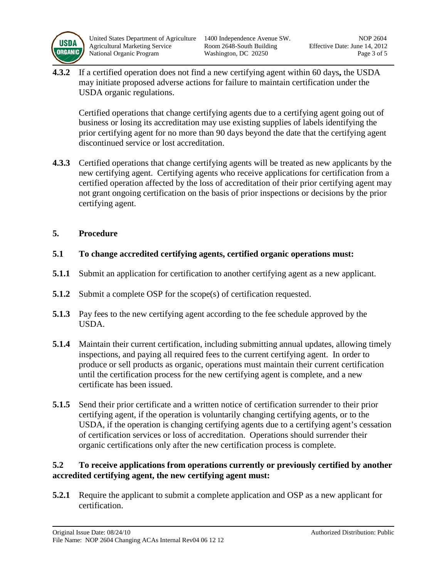

**4.3.2** If a certified operation does not find a new certifying agent within 60 days**,** the USDA may initiate proposed adverse actions for failure to maintain certification under the USDA organic regulations.

Certified operations that change certifying agents due to a certifying agent going out of business or losing its accreditation may use existing supplies of labels identifying the prior certifying agent for no more than 90 days beyond the date that the certifying agent discontinued service or lost accreditation.

**4.3.3** Certified operations that change certifying agents will be treated as new applicants by the new certifying agent. Certifying agents who receive applications for certification from a certified operation affected by the loss of accreditation of their prior certifying agent may not grant ongoing certification on the basis of prior inspections or decisions by the prior certifying agent.

# **5. Procedure**

- **5.1 To change accredited certifying agents, certified organic operations must:**
- **5.1.1** Submit an application for certification to another certifying agent as a new applicant.
- **5.1.2** Submit a complete OSP for the scope(s) of certification requested.
- **5.1.3** Pay fees to the new certifying agent according to the fee schedule approved by the USDA.
- **5.1.4** Maintain their current certification, including submitting annual updates, allowing timely inspections, and paying all required fees to the current certifying agent. In order to produce or sell products as organic, operations must maintain their current certification until the certification process for the new certifying agent is complete, and a new certificate has been issued.
- **5.1.5** Send their prior certificate and a written notice of certification surrender to their prior certifying agent, if the operation is voluntarily changing certifying agents, or to the USDA, if the operation is changing certifying agents due to a certifying agent's cessation of certification services or loss of accreditation. Operations should surrender their organic certifications only after the new certification process is complete.

# **5.2 To receive applications from operations currently or previously certified by another accredited certifying agent, the new certifying agent must:**

**5.2.1** Require the applicant to submit a complete application and OSP as a new applicant for certification.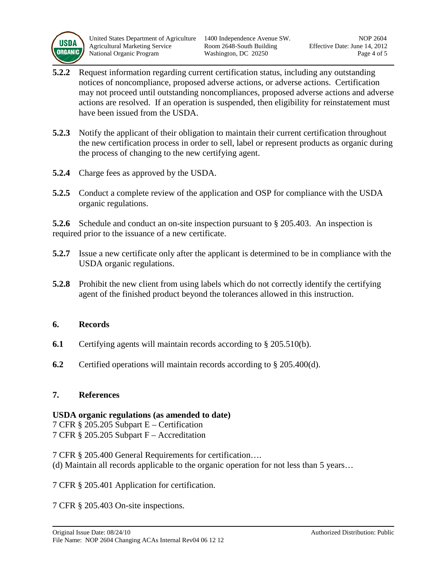

United States Department of Agriculture 1400 Independence Avenue SW. NOP 2604 Agricultural Marketing Service Room 2648-South Building Effective Date: June 14, 2012 National Organic Program Washington, DC 20250 Page 4 of 5

- **5.2.2** Request information regarding current certification status, including any outstanding notices of noncompliance, proposed adverse actions, or adverse actions. Certification may not proceed until outstanding noncompliances, proposed adverse actions and adverse actions are resolved. If an operation is suspended, then eligibility for reinstatement must have been issued from the USDA.
- **5.2.3** Notify the applicant of their obligation to maintain their current certification throughout the new certification process in order to sell, label or represent products as organic during the process of changing to the new certifying agent.
- **5.2.4** Charge fees as approved by the USDA.
- **5.2.5** Conduct a complete review of the application and OSP for compliance with the USDA organic regulations.

**5.2.6** Schedule and conduct an on-site inspection pursuant to § 205.403. An inspection is required prior to the issuance of a new certificate.

- **5.2.7** Issue a new certificate only after the applicant is determined to be in compliance with the USDA organic regulations.
- **5.2.8** Prohibit the new client from using labels which do not correctly identify the certifying agent of the finished product beyond the tolerances allowed in this instruction.

## **6. Records**

- **6.1** Certifying agents will maintain records according to § 205.510(b).
- **6.2** Certified operations will maintain records according to § 205.400(d).

#### **7. References**

## **USDA organic regulations (as amended to date)**

7 CFR § 205.205 Subpart E – Certification 7 CFR § 205.205 Subpart F – Accreditation

7 CFR § 205.400 General Requirements for certification…. (d) Maintain all records applicable to the organic operation for not less than 5 years…

7 CFR § 205.401 Application for certification.

7 CFR § 205.403 On-site inspections.